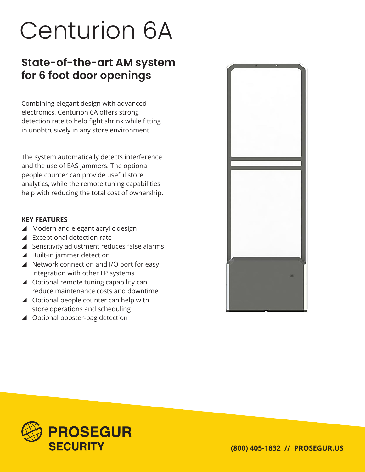## Centurion 6A

## **State-of-the-art AM system for 6 foot door openings**

Combining elegant design with advanced electronics, Centurion 6A offers strong detection rate to help fight shrink while fitting in unobtrusively in any store environment.

The system automatically detects interference and the use of EAS jammers. The optional people counter can provide useful store analytics, while the remote tuning capabilities help with reducing the total cost of ownership.

## **KEY FEATURES**

- ▲ Modern and elegant acrylic design
- $\blacktriangle$  Exceptional detection rate
- $\blacktriangle$  Sensitivity adjustment reduces false alarms
- $\blacktriangle$  Built-in jammer detection
- ▲ Network connection and I/O port for easy integration with other LP systems
- $\triangle$  Optional remote tuning capability can reduce maintenance costs and downtime
- $\blacktriangle$  Optional people counter can help with store operations and scheduling
- ▲ Optional booster-bag detection